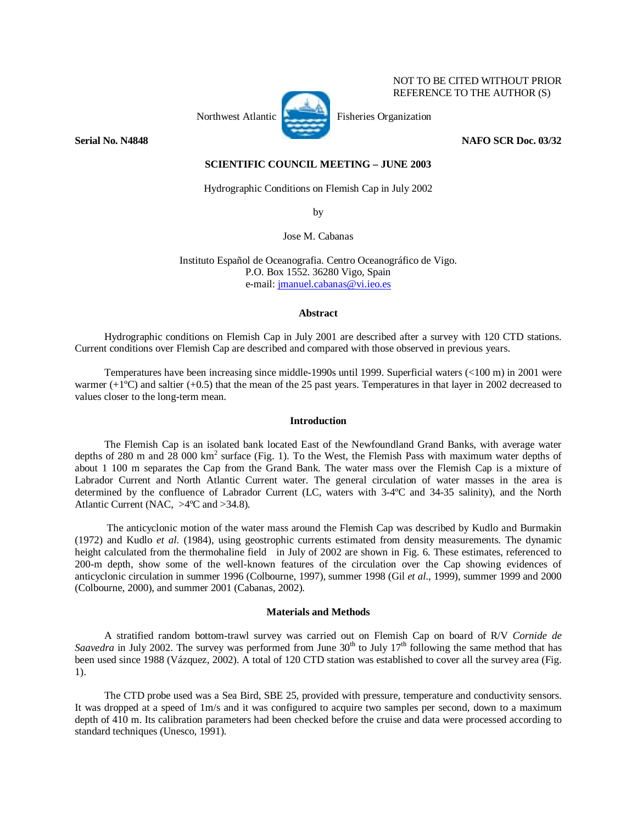# NOT TO BE CITED WITHOUT PRIOR REFERENCE TO THE AUTHOR (S)



Northwest Atlantic Fisheries Organization

**Serial No. N4848** NAFO SCR Doc. 03/32

### **SCIENTIFIC COUNCIL MEETING – JUNE 2003**

Hydrographic Conditions on Flemish Cap in July 2002

by

Jose M. Cabanas

Instituto Español de Oceanografia. Centro Oceanográfico de Vigo. P.O. Box 1552. 36280 Vigo, Spain e-mail: jmanuel.cabanas@vi.ieo.es

#### **Abstract**

Hydrographic conditions on Flemish Cap in July 2001 are described after a survey with 120 CTD stations. Current conditions over Flemish Cap are described and compared with those observed in previous years.

Temperatures have been increasing since middle-1990s until 1999. Superficial waters (<100 m) in 2001 were warmer (+1ºC) and saltier (+0.5) that the mean of the 25 past years. Temperatures in that layer in 2002 decreased to values closer to the long-term mean.

# **Introduction**

The Flemish Cap is an isolated bank located East of the Newfoundland Grand Banks, with average water depths of 280 m and 28 000 km<sup>2</sup> surface (Fig. 1). To the West, the Flemish Pass with maximum water depths of about 1 100 m separates the Cap from the Grand Bank. The water mass over the Flemish Cap is a mixture of Labrador Current and North Atlantic Current water. The general circulation of water masses in the area is determined by the confluence of Labrador Current (LC, waters with 3-4ºC and 34-35 salinity), and the North Atlantic Current (NAC, >4ºC and >34.8).

 The anticyclonic motion of the water mass around the Flemish Cap was described by Kudlo and Burmakin (1972) and Kudlo *et al.* (1984), using geostrophic currents estimated from density measurements. The dynamic height calculated from the thermohaline field in July of 2002 are shown in Fig. 6. These estimates, referenced to 200-m depth, show some of the well-known features of the circulation over the Cap showing evidences of anticyclonic circulation in summer 1996 (Colbourne, 1997), summer 1998 (Gil *et al*., 1999), summer 1999 and 2000 (Colbourne, 2000), and summer 2001 (Cabanas, 2002).

#### **Materials and Methods**

A stratified random bottom-trawl survey was carried out on Flemish Cap on board of R/V *Cornide de*  Saavedra in July 2002. The survey was performed from June  $30<sup>th</sup>$  to July  $17<sup>th</sup>$  following the same method that has been used since 1988 (Vázquez, 2002). A total of 120 CTD station was established to cover all the survey area (Fig. 1).

The CTD probe used was a Sea Bird, SBE 25, provided with pressure, temperature and conductivity sensors. It was dropped at a speed of 1m/s and it was configured to acquire two samples per second, down to a maximum depth of 410 m. Its calibration parameters had been checked before the cruise and data were processed according to standard techniques (Unesco, 1991).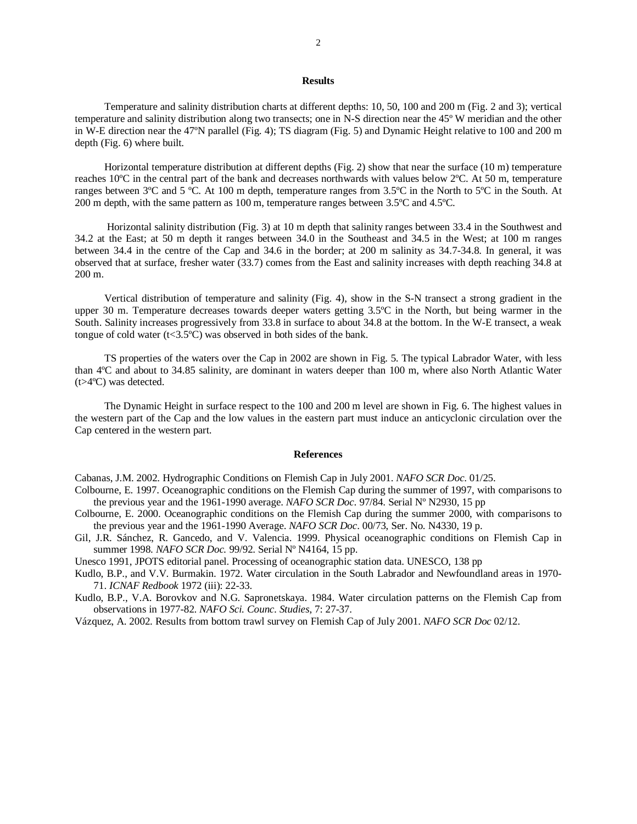# **Results**

Temperature and salinity distribution charts at different depths: 10, 50, 100 and 200 m (Fig. 2 and 3); vertical temperature and salinity distribution along two transects; one in N-S direction near the 45º W meridian and the other in W-E direction near the 47ºN parallel (Fig. 4); TS diagram (Fig. 5) and Dynamic Height relative to 100 and 200 m depth (Fig. 6) where built.

Horizontal temperature distribution at different depths (Fig. 2) show that near the surface (10 m) temperature reaches 10ºC in the central part of the bank and decreases northwards with values below 2ºC. At 50 m, temperature ranges between 3ºC and 5 ºC. At 100 m depth, temperature ranges from 3.5ºC in the North to 5ºC in the South. At 200 m depth, with the same pattern as 100 m, temperature ranges between 3.5ºC and 4.5ºC.

 Horizontal salinity distribution (Fig. 3) at 10 m depth that salinity ranges between 33.4 in the Southwest and 34.2 at the East; at 50 m depth it ranges between 34.0 in the Southeast and 34.5 in the West; at 100 m ranges between 34.4 in the centre of the Cap and 34.6 in the border; at 200 m salinity as 34.7-34.8. In general, it was observed that at surface, fresher water (33.7) comes from the East and salinity increases with depth reaching 34.8 at 200 m.

Vertical distribution of temperature and salinity (Fig. 4), show in the S-N transect a strong gradient in the upper 30 m. Temperature decreases towards deeper waters getting 3.5ºC in the North, but being warmer in the South. Salinity increases progressively from 33.8 in surface to about 34.8 at the bottom. In the W-E transect, a weak tongue of cold water ( $t < 3.5^{\circ}$ C) was observed in both sides of the bank.

TS properties of the waters over the Cap in 2002 are shown in Fig. 5. The typical Labrador Water, with less than 4ºC and about to 34.85 salinity, are dominant in waters deeper than 100 m, where also North Atlantic Water (t>4ºC) was detected.

The Dynamic Height in surface respect to the 100 and 200 m level are shown in Fig. 6. The highest values in the western part of the Cap and the low values in the eastern part must induce an anticyclonic circulation over the Cap centered in the western part.

#### **References**

Cabanas, J.M. 2002. Hydrographic Conditions on Flemish Cap in July 2001. *NAFO SCR Doc*. 01/25.

- Colbourne, E. 1997. Oceanographic conditions on the Flemish Cap during the summer of 1997, with comparisons to the previous year and the 1961-1990 average. *NAFO SCR Doc.* 97/84. Serial Nº N2930, 15 pp
- Colbourne, E. 2000. Oceanographic conditions on the Flemish Cap during the summer 2000, with comparisons to the previous year and the 1961-1990 Average. *NAFO SCR Doc*. 00/73, Ser. No. N4330, 19 p.
- Gil, J.R. Sánchez, R. Gancedo, and V. Valencia. 1999. Physical oceanographic conditions on Flemish Cap in summer 1998. *NAFO SCR Doc.* 99/92. Serial Nº N4164, 15 pp.

Unesco 1991, JPOTS editorial panel. Processing of oceanographic station data. UNESCO, 138 pp

- Kudlo, B.P., and V.V. Burmakin. 1972. Water circulation in the South Labrador and Newfoundland areas in 1970- 71. *ICNAF Redbook* 1972 (iii): 22-33.
- Kudlo, B.P., V.A. Borovkov and N.G. Sapronetskaya. 1984. Water circulation patterns on the Flemish Cap from observations in 1977-82. *NAFO Sci. Counc. Studies*, 7: 27-37.
- Vázquez, A. 2002. Results from bottom trawl survey on Flemish Cap of July 2001. *NAFO SCR Doc* 02/12.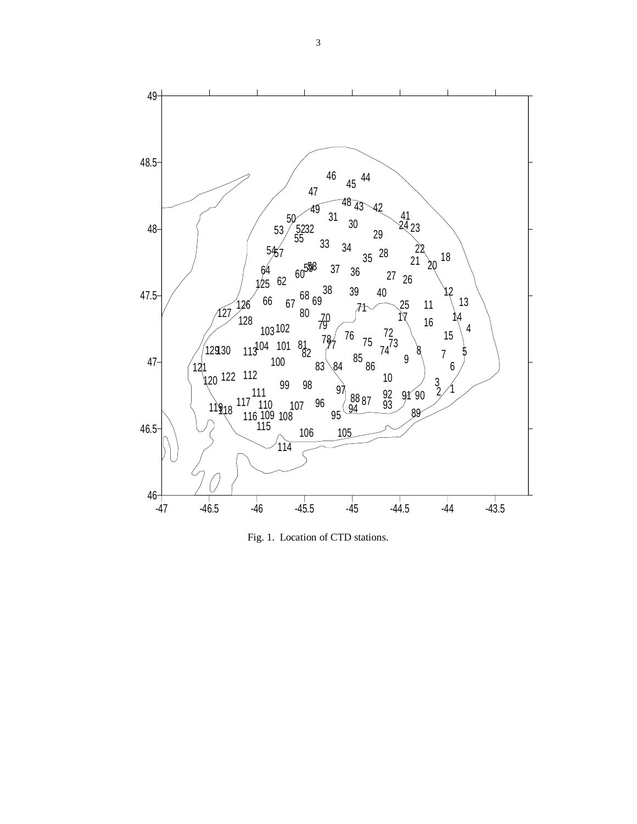

Fig. 1.Location of CTD stations.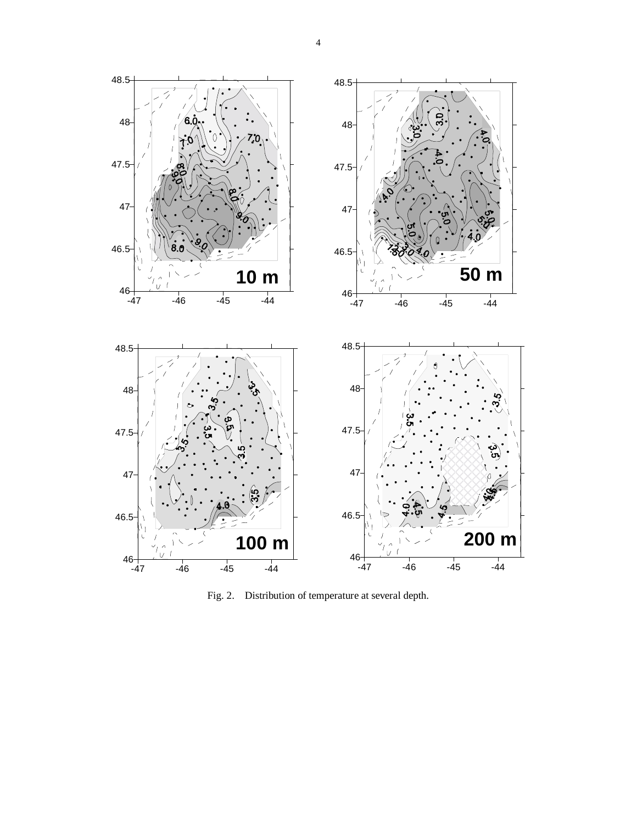

Fig. 2.Distribution of temperature at several depth.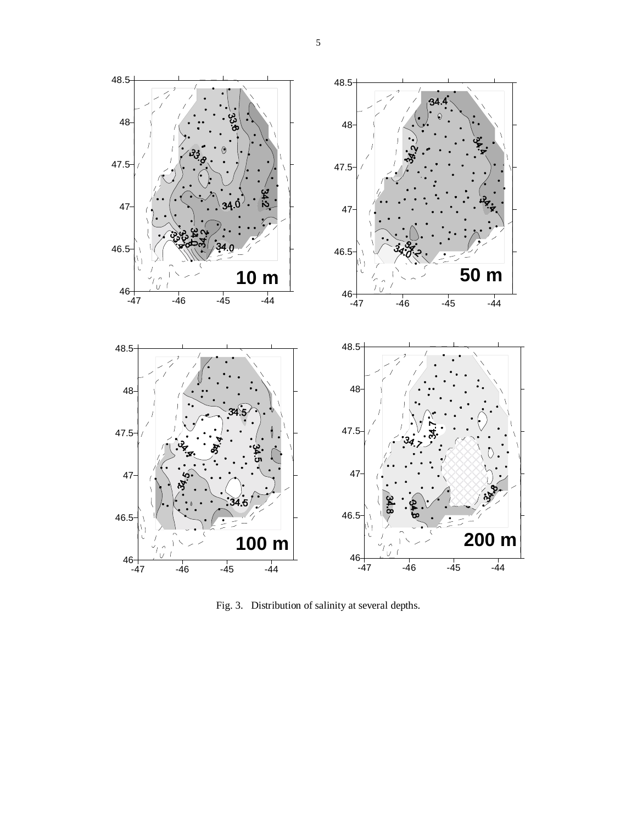

Fig. 3. Distribution of salinity at several depths.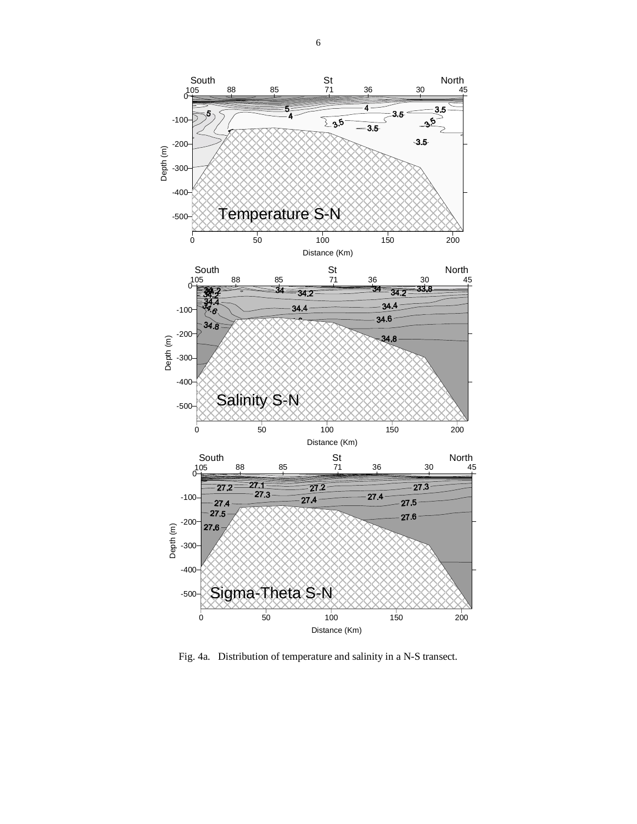

Fig. 4a. Distribution of temperature and salinity in a N-S transect.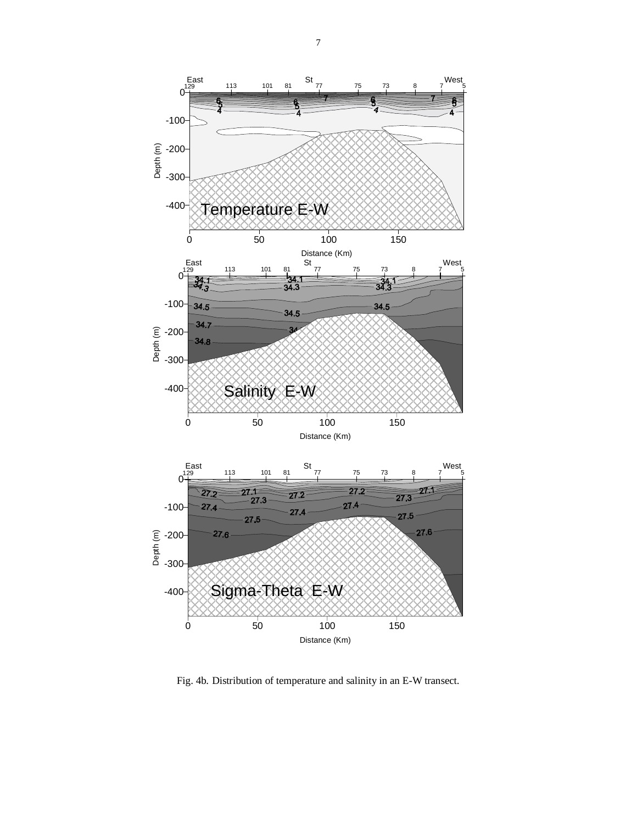

Fig. 4b. Distribution of temperature and salinity in an E-W transect.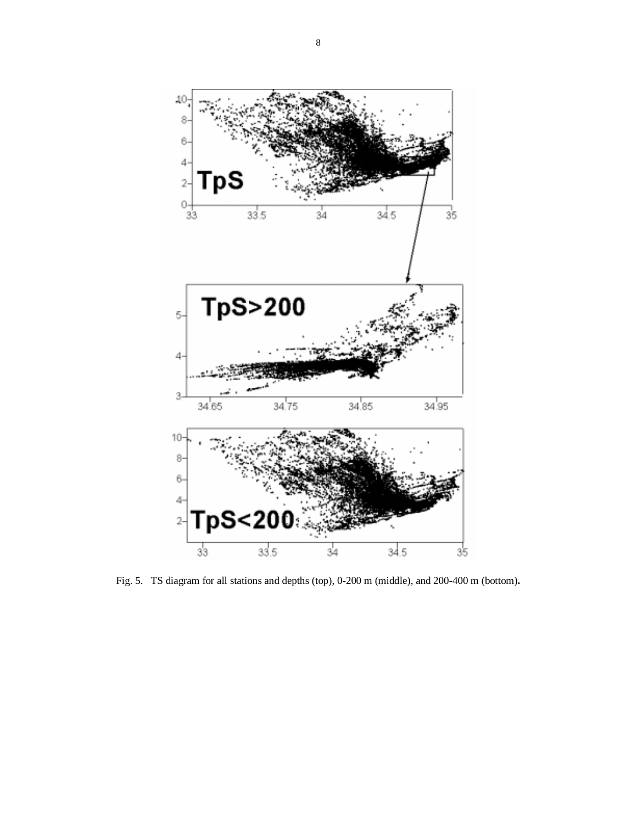

Fig. 5. TS diagram for all stations and depths (top), 0-200 m (middle), and 200-400 m (bottom)**.**